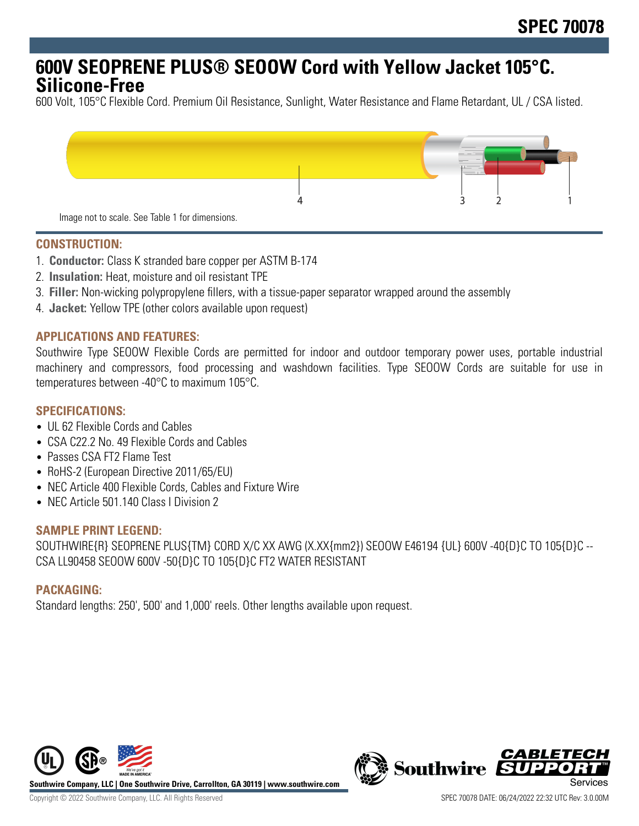# **600V SEOPRENE PLUS® SEOOW Cord with Yellow Jacket 105°C. Silicone-Free**

600 Volt, 105°C Flexible Cord. Premium Oil Resistance, Sunlight, Water Resistance and Flame Retardant, UL / CSA listed.



# **CONSTRUCTION:**

- 1. **Conductor:** Class K stranded bare copper per ASTM B-174
- 2. **Insulation:** Heat, moisture and oil resistant TPE
- 3. **Filler:** Non-wicking polypropylene fillers, with a tissue-paper separator wrapped around the assembly
- 4. **Jacket:** Yellow TPE (other colors available upon request)

#### **APPLICATIONS AND FEATURES:**

Southwire Type SEOOW Flexible Cords are permitted for indoor and outdoor temporary power uses, portable industrial machinery and compressors, food processing and washdown facilities. Type SEOOW Cords are suitable for use in temperatures between -40°C to maximum 105°C.

#### **SPECIFICATIONS:**

- UL 62 Flexible Cords and Cables
- CSA C22.2 No. 49 Flexible Cords and Cables
- Passes CSA FT2 Flame Test
- RoHS-2 (European Directive 2011/65/EU)
- NEC Article 400 Flexible Cords, Cables and Fixture Wire
- NFC Article 501 140 Class I Division 2

#### **SAMPLE PRINT LEGEND:**

SOUTHWIRE{R} SEOPRENE PLUS{TM} CORD X/C XX AWG (X.XX{mm2}) SEOOW E46194 {UL} 600V -40{D}C TO 105{D}C -- CSA LL90458 SEOOW 600V -50{D}C TO 105{D}C FT2 WATER RESISTANT

#### **PACKAGING:**

Standard lengths: 250', 500' and 1,000' reels. Other lengths available upon request.



*CABLET*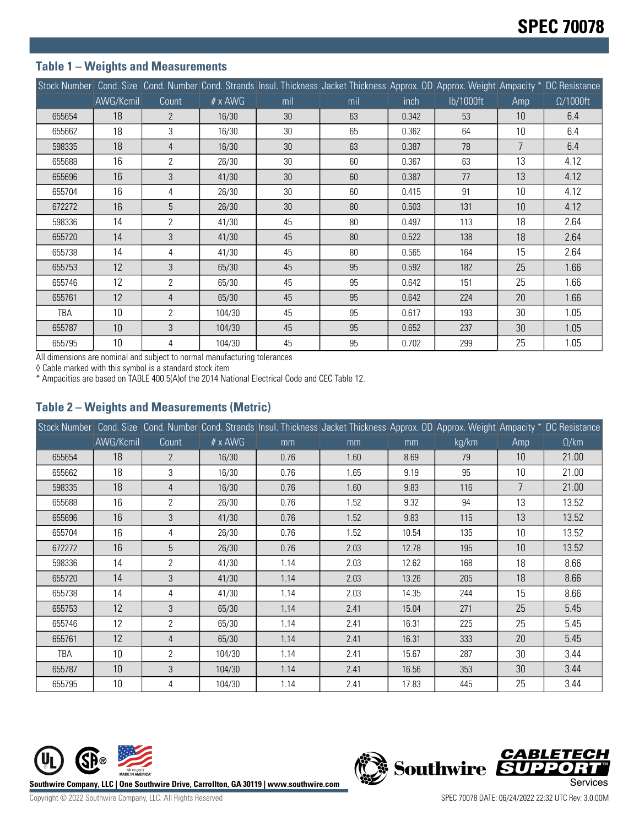# **Table 1 – Weights and Measurements**

|        |           |                |                |     | Stock Number Cond. Size Cond. Number Cond. Strands Insul. Thickness Jacket Thickness Approx. OD Approx. Weight Ampacity * DC Resistance |       |           |                |                  |
|--------|-----------|----------------|----------------|-----|-----------------------------------------------------------------------------------------------------------------------------------------|-------|-----------|----------------|------------------|
|        | AWG/Kcmil | Count          | $# \times$ AWG | mil | mil                                                                                                                                     | inch  | lb/1000ft | Amp            | $\Omega/1000$ ft |
| 655654 | 18        | $\mathcal{P}$  | 16/30          | 30  | 63                                                                                                                                      | 0.342 | 53        | 10             | 6.4              |
| 655662 | 18        | 3              | 16/30          | 30  | 65                                                                                                                                      | 0.362 | 64        | 10             | 6.4              |
| 598335 | 18        | $\overline{4}$ | 16/30          | 30  | 63                                                                                                                                      | 0.387 | 78        | $\overline{7}$ | 6.4              |
| 655688 | 16        | $\overline{2}$ | 26/30          | 30  | 60                                                                                                                                      | 0.367 | 63        | 13             | 4.12             |
| 655696 | 16        | $\mathbf{3}$   | 41/30          | 30  | 60                                                                                                                                      | 0.387 | 77        | 13             | 4.12             |
| 655704 | 16        | 4              | 26/30          | 30  | 60                                                                                                                                      | 0.415 | 91        | 10             | 4.12             |
| 672272 | 16        | 5              | 26/30          | 30  | 80                                                                                                                                      | 0.503 | 131       | 10             | 4.12             |
| 598336 | 14        | $\overline{2}$ | 41/30          | 45  | 80                                                                                                                                      | 0.497 | 113       | 18             | 2.64             |
| 655720 | 14        | 3              | 41/30          | 45  | 80                                                                                                                                      | 0.522 | 138       | 18             | 2.64             |
| 655738 | 14        | 4              | 41/30          | 45  | 80                                                                                                                                      | 0.565 | 164       | 15             | 2.64             |
| 655753 | 12        | 3              | 65/30          | 45  | 95                                                                                                                                      | 0.592 | 182       | 25             | 1.66             |
| 655746 | 12        | $\overline{2}$ | 65/30          | 45  | 95                                                                                                                                      | 0.642 | 151       | 25             | 1.66             |
| 655761 | 12        | 4              | 65/30          | 45  | 95                                                                                                                                      | 0.642 | 224       | 20             | 1.66             |
| TBA    | 10        | $\overline{2}$ | 104/30         | 45  | 95                                                                                                                                      | 0.617 | 193       | 30             | 1.05             |
| 655787 | 10        | 3              | 104/30         | 45  | 95                                                                                                                                      | 0.652 | 237       | 30             | 1.05             |
| 655795 | 10        | 4              | 104/30         | 45  | 95                                                                                                                                      | 0.702 | 299       | 25             | 1.05             |

All dimensions are nominal and subject to normal manufacturing tolerances

◊ Cable marked with this symbol is a standard stock item

\* Ampacities are based on TABLE 400.5(A)of the 2014 National Electrical Code and CEC Table 12.

# **Table 2 – Weights and Measurements (Metric)**

|        |           |                |                |      | Stock Number Cond. Size Cond. Number Cond. Strands Insul. Thickness Jacket Thickness Approx. OD Approx. Weight Ampacity * DC Resistance |       |       |                |              |
|--------|-----------|----------------|----------------|------|-----------------------------------------------------------------------------------------------------------------------------------------|-------|-------|----------------|--------------|
|        | AWG/Kcmil | Count          | $# \times$ AWG | mm   | mm                                                                                                                                      | mm    | kg/km | Amp            | $\Omega$ /km |
| 655654 | 18        | 2              | 16/30          | 0.76 | 1.60                                                                                                                                    | 8.69  | 79    | 10             | 21.00        |
| 655662 | 18        | 3              | 16/30          | 0.76 | 1.65                                                                                                                                    | 9.19  | 95    | 10             | 21.00        |
| 598335 | 18        | 4              | 16/30          | 0.76 | 1.60                                                                                                                                    | 9.83  | 116   | $\overline{7}$ | 21.00        |
| 655688 | 16        | $\mathbf{2}$   | 26/30          | 0.76 | 1.52                                                                                                                                    | 9.32  | 94    | 13             | 13.52        |
| 655696 | 16        | 3              | 41/30          | 0.76 | 1.52                                                                                                                                    | 9.83  | 115   | 13             | 13.52        |
| 655704 | 16        | 4              | 26/30          | 0.76 | 1.52                                                                                                                                    | 10.54 | 135   | 10             | 13.52        |
| 672272 | 16        | 5              | 26/30          | 0.76 | 2.03                                                                                                                                    | 12.78 | 195   | 10             | 13.52        |
| 598336 | 14        | 2              | 41/30          | 1.14 | 2.03                                                                                                                                    | 12.62 | 168   | 18             | 8.66         |
| 655720 | 14        | 3              | 41/30          | 1.14 | 2.03                                                                                                                                    | 13.26 | 205   | 18             | 8.66         |
| 655738 | 14        | 4              | 41/30          | 1.14 | 2.03                                                                                                                                    | 14.35 | 244   | 15             | 8.66         |
| 655753 | 12        | 3              | 65/30          | 1.14 | 2.41                                                                                                                                    | 15.04 | 271   | 25             | 5.45         |
| 655746 | 12        | $\overline{2}$ | 65/30          | 1.14 | 2.41                                                                                                                                    | 16.31 | 225   | 25             | 5.45         |
| 655761 | 12        | 4              | 65/30          | 1.14 | 2.41                                                                                                                                    | 16.31 | 333   | 20             | 5.45         |
| TBA    | 10        | 2              | 104/30         | 1.14 | 2.41                                                                                                                                    | 15.67 | 287   | 30             | 3.44         |
| 655787 | 10        | 3              | 104/30         | 1.14 | 2.41                                                                                                                                    | 16.56 | 353   | 30             | 3.44         |
| 655795 | 10        | 4              | 104/30         | 1.14 | 2.41                                                                                                                                    | 17.83 | 445   | 25             | 3.44         |



**CABLETECH**